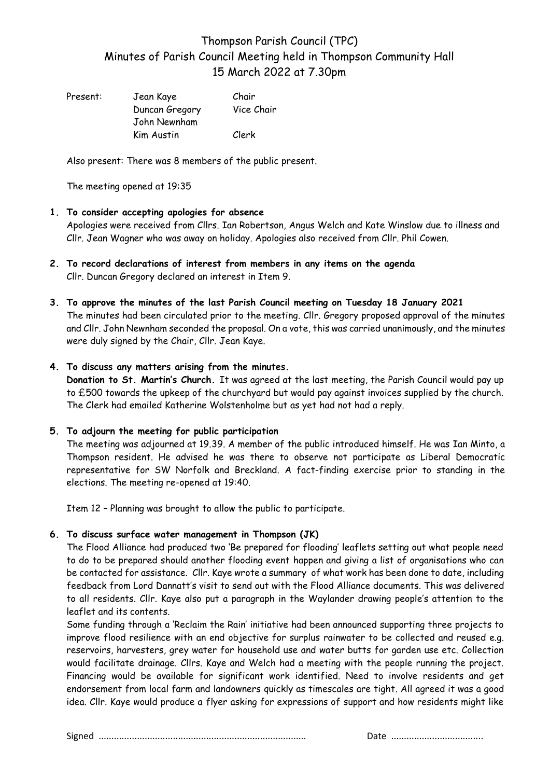# Thompson Parish Council (TPC) Minutes of Parish Council Meeting held in Thompson Community Hall 15 March 2022 at 7.30pm

| Present: | Jean Kaye      | Chair      |
|----------|----------------|------------|
|          | Duncan Gregory | Vice Chair |
|          | John Newnham   |            |
|          | Kim Austin     | Clerk      |

Also present: There was 8 members of the public present.

The meeting opened at 19:35

### **1. To consider accepting apologies for absence**

Apologies were received from Cllrs. Ian Robertson, Angus Welch and Kate Winslow due to illness and Cllr. Jean Wagner who was away on holiday. Apologies also received from Cllr. Phil Cowen.

- **2. To record declarations of interest from members in any items on the agenda** Cllr. Duncan Gregory declared an interest in Item 9.
- **3. To approve the minutes of the last Parish Council meeting on Tuesday 18 January 2021** The minutes had been circulated prior to the meeting. Cllr. Gregory proposed approval of the minutes and Cllr. John Newnham seconded the proposal. On a vote, this was carried unanimously, and the minutes were duly signed by the Chair, Cllr. Jean Kaye.

## **4. To discuss any matters arising from the minutes.**

**Donation to St. Martin's Church.** It was agreed at the last meeting, the Parish Council would pay up to £500 towards the upkeep of the churchyard but would pay against invoices supplied by the church. The Clerk had emailed Katherine Wolstenholme but as yet had not had a reply.

## **5. To adjourn the meeting for public participation**

The meeting was adjourned at 19.39. A member of the public introduced himself. He was Ian Minto, a Thompson resident. He advised he was there to observe not participate as Liberal Democratic representative for SW Norfolk and Breckland. A fact-finding exercise prior to standing in the elections. The meeting re-opened at 19:40.

Item 12 – Planning was brought to allow the public to participate.

## **6. To discuss surface water management in Thompson (JK)**

The Flood Alliance had produced two 'Be prepared for flooding' leaflets setting out what people need to do to be prepared should another flooding event happen and giving a list of organisations who can be contacted for assistance. Cllr. Kaye wrote a summary of what work has been done to date, including feedback from Lord Dannatt's visit to send out with the Flood Alliance documents. This was delivered to all residents. Cllr. Kaye also put a paragraph in the Waylander drawing people's attention to the leaflet and its contents.

Some funding through a 'Reclaim the Rain' initiative had been announced supporting three projects to improve flood resilience with an end objective for surplus rainwater to be collected and reused e.g. reservoirs, harvesters, grey water for household use and water butts for garden use etc. Collection would facilitate drainage. Cllrs. Kaye and Welch had a meeting with the people running the project. Financing would be available for significant work identified. Need to involve residents and get endorsement from local farm and landowners quickly as timescales are tight. All agreed it was a good idea. Cllr. Kaye would produce a flyer asking for expressions of support and how residents might like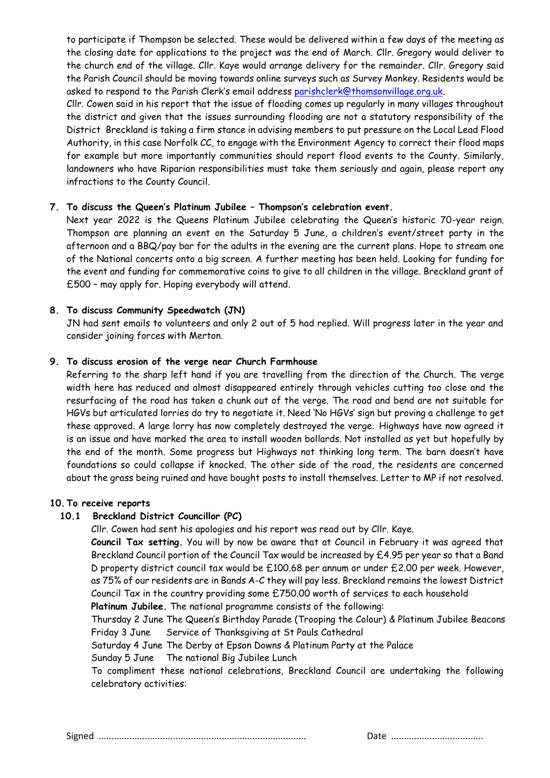to participate if Thompson be selected. These would be delivered within a few days of the meeting as the closing date for applications to the project was the end of March. Cllr. Gregory would deliver to the church end of the village. Cllr. Kaye would arrange delivery for the remainder. Cllr. Gregory said the Parish Council should be moving towards online surveys such as Survey Monkey. Residents would be asked to respond to the Parish Clerk's email address [parishclerk@thomsonvillage.org.uk.](mailto:parishclerk@thomsonvillage.org.uk)

Cllr. Cowen said in his report that the issue of flooding comes up regularly in many villages throughout the district and given that the issues surrounding flooding are not a statutory responsibility of the District Breckland is taking a firm stance in advising members to put pressure on the Local Lead Flood Authority, in this case Norfolk CC, to engage with the Environment Agency to correct their flood maps for example but more importantly communities should report flood events to the County. Similarly, landowners who have Riparian responsibilities must take them seriously and again, please report any infractions to the County Council.

## **7. To discuss the Queen's Platinum Jubilee – Thompson's celebration event.**

Next year 2022 is the Queens Platinum Jubilee celebrating the Queen's historic 70-year reign. Thompson are planning an event on the Saturday 5 June, a children's event/street party in the afternoon and a BBQ/pay bar for the adults in the evening are the current plans. Hope to stream one of the National concerts onto a big screen. A further meeting has been held. Looking for funding for the event and funding for commemorative coins to give to all children in the village. Breckland grant of £500 – may apply for. Hoping everybody will attend.

### **8. To discuss Community Speedwatch (JN)**

JN had sent emails to volunteers and only 2 out of 5 had replied. Will progress later in the year and consider joining forces with Merton.

### **9. To discuss erosion of the verge near Church Farmhouse**

Referring to the sharp left hand if you are travelling from the direction of the Church. The verge width here has reduced and almost disappeared entirely through vehicles cutting too close and the resurfacing of the road has taken a chunk out of the verge. The road and bend are not suitable for HGVs but articulated lorries do try to negotiate it. Need 'No HGVs' sign but proving a challenge to get these approved. A large lorry has now completely destroyed the verge. Highways have now agreed it is an issue and have marked the area to install wooden bollards. Not installed as yet but hopefully by the end of the month. Some progress but Highways not thinking long term. The barn doesn't have foundations so could collapse if knocked. The other side of the road, the residents are concerned about the grass being ruined and have bought posts to install themselves. Letter to MP if not resolved.

#### **10.To receive reports**

#### **10.1 Breckland District Councillor (PC)**

Cllr. Cowen had sent his apologies and his report was read out by Cllr. Kaye.

**Council Tax setting.** You will by now be aware that at Council in February it was agreed that Breckland Council portion of the Council Tax would be increased by £4.95 per year so that a Band D property district council tax would be £100.68 per annum or under £2.00 per week. However, as 75% of our residents are in Bands A-C they will pay less. Breckland remains the lowest District Council Tax in the country providing some £750.00 worth of services to each household

**Platinum Jubilee.** The national programme consists of the following:

Thursday 2 June The Queen's Birthday Parade (Trooping the Colour) & Platinum Jubilee Beacons Friday 3 June Service of Thanksgiving at St Pauls Cathedral

Saturday 4 June The Derby at Epson Downs & Platinum Party at the Palace

Sunday 5 June The national Big Jubilee Lunch

To compliment these national celebrations, Breckland Council are undertaking the following celebratory activities: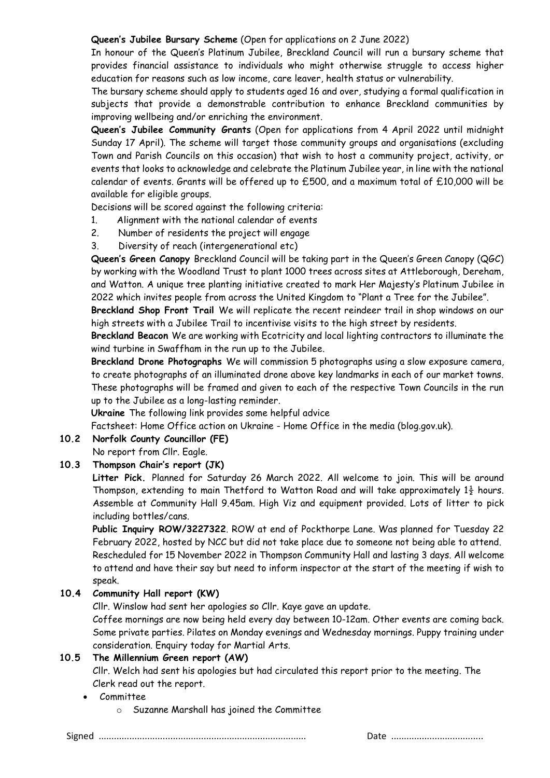### **Queen's Jubilee Bursary Scheme** (Open for applications on 2 June 2022)

In honour of the Queen's Platinum Jubilee, Breckland Council will run a bursary scheme that provides financial assistance to individuals who might otherwise struggle to access higher education for reasons such as low income, care leaver, health status or vulnerability.

The bursary scheme should apply to students aged 16 and over, studying a formal qualification in subjects that provide a demonstrable contribution to enhance Breckland communities by improving wellbeing and/or enriching the environment.

**Queen's Jubilee Community Grants** (Open for applications from 4 April 2022 until midnight Sunday 17 April). The scheme will target those community groups and organisations (excluding Town and Parish Councils on this occasion) that wish to host a community project, activity, or events that looks to acknowledge and celebrate the Platinum Jubilee year, in line with the national calendar of events. Grants will be offered up to £500, and a maximum total of £10,000 will be available for eligible groups.

Decisions will be scored against the following criteria:

- 1. Alignment with the national calendar of events
- 2. Number of residents the project will engage
- 3. Diversity of reach (intergenerational etc)

**Queen's Green Canopy** Breckland Council will be taking part in the Queen's Green Canopy (QGC) by working with the Woodland Trust to plant 1000 trees across sites at Attleborough, Dereham, and Watton. A unique tree planting initiative created to mark Her Majesty's Platinum Jubilee in 2022 which invites people from across the United Kingdom to "Plant a Tree for the Jubilee".

**Breckland Shop Front Trail** We will replicate the recent reindeer trail in shop windows on our high streets with a Jubilee Trail to incentivise visits to the high street by residents.

**Breckland Beacon** We are working with Ecotricity and local lighting contractors to illuminate the wind turbine in Swaffham in the run up to the Jubilee.

**Breckland Drone Photographs** We will commission 5 photographs using a slow exposure camera, to create photographs of an illuminated drone above key landmarks in each of our market towns. These photographs will be framed and given to each of the respective Town Councils in the run up to the Jubilee as a long-lasting reminder.

**Ukraine** The following link provides some helpful advice

Factsheet: Home Office action on Ukraine - Home Office in the media (blog.gov.uk).

## **10.2 Norfolk County Councillor (FE)**

No report from Cllr. Eagle.

## **10.3 Thompson Chair's report (JK)**

**Litter Pick.** Planned for Saturday 26 March 2022. All welcome to join. This will be around Thompson, extending to main Thetford to Watton Road and will take approximately  $1\frac{1}{2}$  hours. Assemble at Community Hall 9.45am. High Viz and equipment provided. Lots of litter to pick including bottles/cans.

**Public Inquiry ROW/3227322**. ROW at end of Pockthorpe Lane. Was planned for Tuesday 22 February 2022, hosted by NCC but did not take place due to someone not being able to attend. Rescheduled for 15 November 2022 in Thompson Community Hall and lasting 3 days. All welcome to attend and have their say but need to inform inspector at the start of the meeting if wish to speak.

## **10.4 Community Hall report (KW)**

Cllr. Winslow had sent her apologies so Cllr. Kaye gave an update.

Coffee mornings are now being held every day between 10-12am. Other events are coming back. Some private parties. Pilates on Monday evenings and Wednesday mornings. Puppy training under consideration. Enquiry today for Martial Arts.

#### **10.5 The Millennium Green report (AW)**

Cllr. Welch had sent his apologies but had circulated this report prior to the meeting. The Clerk read out the report.

- Committee
	- o Suzanne Marshall has joined the Committee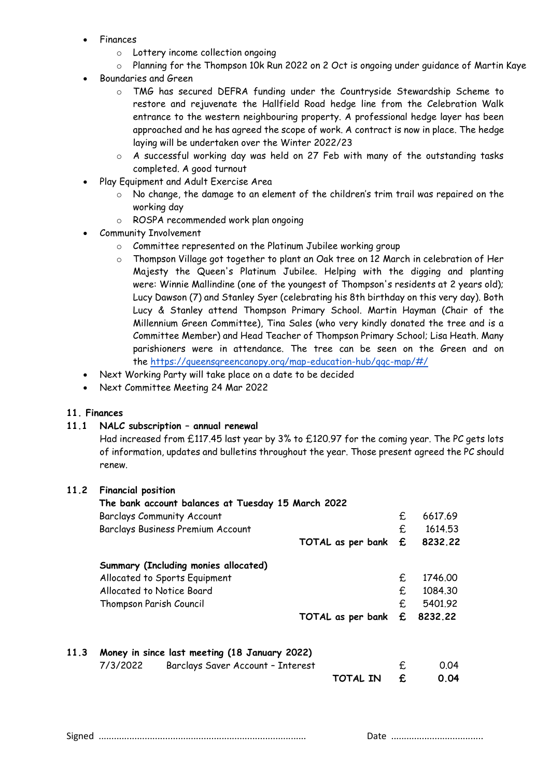- Finances
	- o Lottery income collection ongoing
	- o Planning for the Thompson 10k Run 2022 on 2 Oct is ongoing under guidance of Martin Kaye
- Boundaries and Green
	- o TMG has secured DEFRA funding under the Countryside Stewardship Scheme to restore and rejuvenate the Hallfield Road hedge line from the Celebration Walk entrance to the western neighbouring property. A professional hedge layer has been approached and he has agreed the scope of work. A contract is now in place. The hedge laying will be undertaken over the Winter 2022/23
	- o A successful working day was held on 27 Feb with many of the outstanding tasks completed. A good turnout
- Play Equipment and Adult Exercise Area
	- o No change, the damage to an element of the children's trim trail was repaired on the working day
	- o ROSPA recommended work plan ongoing
- Community Involvement
	- o Committee represented on the Platinum Jubilee working group
	- o Thompson Village got together to plant an Oak tree on 12 March in celebration of Her Majesty the Queen's Platinum Jubilee. Helping with the digging and planting were: Winnie Mallindine (one of the youngest of Thompson's residents at 2 years old); Lucy Dawson (7) and Stanley Syer (celebrating his 8th birthday on this very day). Both Lucy & Stanley attend Thompson Primary School. Martin Hayman (Chair of the Millennium Green Committee), Tina Sales (who very kindly donated the tree and is a Committee Member) and Head Teacher of Thompson Primary School; Lisa Heath. Many parishioners were in attendance. The tree can be seen on the Green and on the <https://queensgreencanopy.org/map-education-hub/qgc-map/#/>
- Next Working Party will take place on a date to be decided
- Next Committee Meeting 24 Mar 2022

## **11. Finances**

## **11.1 NALC subscription – annual renewal**

Had increased from £117.45 last year by 3% to £120.97 for the coming year. The PC gets lots of information, updates and bulletins throughout the year. Those present agreed the PC should renew.

## **11.2 Financial position**

| £<br><b>Barclays Community Account</b><br><b>Barclays Business Premium Account</b><br>£<br>£<br>TOTAL as per bank<br>Summary (Including monies allocated)<br>£<br>Allocated to Sports Equipment<br>Allocated to Notice Board<br>£<br>£<br>Thompson Parish Council<br>8232.22<br>£<br>TOTAL as per bank<br>11.3<br>Money in since last meeting (18 January 2022)<br>7/3/2022<br>0.04<br>Barclays Saver Account - Interest<br>£<br>£<br><b>TOTAL IN</b> | The bank account balances at Tuesday 15 March 2022 |  |         |
|-------------------------------------------------------------------------------------------------------------------------------------------------------------------------------------------------------------------------------------------------------------------------------------------------------------------------------------------------------------------------------------------------------------------------------------------------------|----------------------------------------------------|--|---------|
|                                                                                                                                                                                                                                                                                                                                                                                                                                                       |                                                    |  | 6617.69 |
|                                                                                                                                                                                                                                                                                                                                                                                                                                                       |                                                    |  | 1614.53 |
|                                                                                                                                                                                                                                                                                                                                                                                                                                                       |                                                    |  | 8232.22 |
|                                                                                                                                                                                                                                                                                                                                                                                                                                                       |                                                    |  |         |
|                                                                                                                                                                                                                                                                                                                                                                                                                                                       |                                                    |  | 1746.00 |
|                                                                                                                                                                                                                                                                                                                                                                                                                                                       |                                                    |  | 1084.30 |
|                                                                                                                                                                                                                                                                                                                                                                                                                                                       |                                                    |  | 5401.92 |
|                                                                                                                                                                                                                                                                                                                                                                                                                                                       |                                                    |  |         |
|                                                                                                                                                                                                                                                                                                                                                                                                                                                       |                                                    |  |         |
|                                                                                                                                                                                                                                                                                                                                                                                                                                                       |                                                    |  |         |
|                                                                                                                                                                                                                                                                                                                                                                                                                                                       |                                                    |  | 0.04    |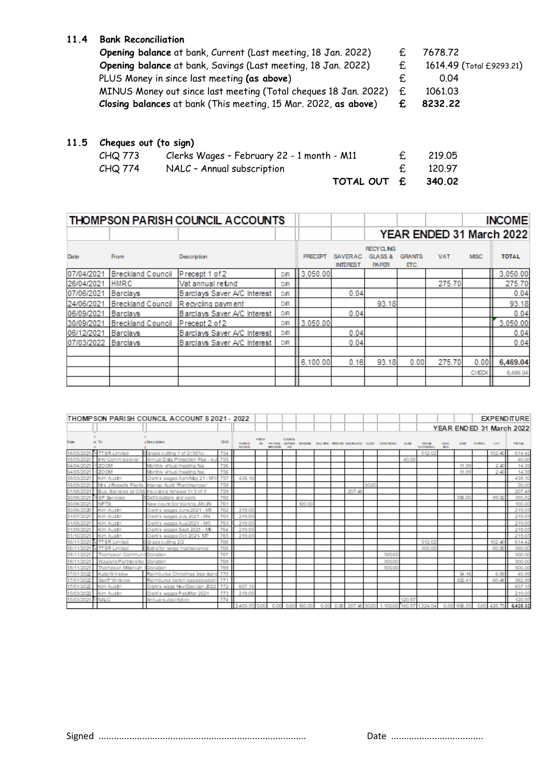## **11.4 Bank Reconciliation**

| Opening balance at bank, Savings (Last meeting, 18 Jan. 2022)<br>£.<br>PLUS Money in since last meeting (as above)<br>0.04<br>MINUS Money out since last meeting (Total cheques 18 Jan. 2022)<br>£.<br>1061.03<br>Closing balances at bank (This meeting, 15 Mar. 2022, as above)<br>8232.22<br>£ |                                                               |            |                          |
|---------------------------------------------------------------------------------------------------------------------------------------------------------------------------------------------------------------------------------------------------------------------------------------------------|---------------------------------------------------------------|------------|--------------------------|
|                                                                                                                                                                                                                                                                                                   |                                                               |            |                          |
|                                                                                                                                                                                                                                                                                                   |                                                               |            |                          |
|                                                                                                                                                                                                                                                                                                   |                                                               |            |                          |
|                                                                                                                                                                                                                                                                                                   |                                                               |            | 1614.49 (Total £9293.21) |
|                                                                                                                                                                                                                                                                                                   | Opening balance at bank, Current (Last meeting, 18 Jan. 2022) | $\epsilon$ | 7678.72                  |

## **11.5 Cheques out (to sign)**

|         | TOTAL OUT £ 340.02                         |        |
|---------|--------------------------------------------|--------|
| CHQ 774 | NALC - Annual subscription                 | 120.97 |
| CHQ 773 | Clerks Wages - February 22 - 1 month - M11 | 219.05 |

|             |                          | THOMPSON PARISH COUNCIL ACCOUNTS |           |          |                              |                                                        |                             |            |             | <b>INCOME</b>            |
|-------------|--------------------------|----------------------------------|-----------|----------|------------------------------|--------------------------------------------------------|-----------------------------|------------|-------------|--------------------------|
|             |                          |                                  |           |          |                              |                                                        |                             |            |             | YEAR ENDED 31 March 2022 |
| <b>Date</b> | <b>From</b>              | Description                      |           | PRECEPT  | SAVER AC.<br><b>INTEREST</b> | <b>RECYCLING</b><br><b>GLASS &amp;</b><br><b>PAPER</b> | <b>GRANTS</b><br><b>ETC</b> | <b>VAT</b> | <b>MISC</b> | <b>TOTAL</b>             |
| 07/04/2021  | Breckland Council        | Precept 1 of 2                   | DR        | 3.050.00 |                              |                                                        |                             |            |             | 3.050.00                 |
| 26/04/2021  | HMRC                     | Vat annual refund                | DR        |          |                              |                                                        |                             | 275.70     |             | 275.70                   |
| 07/06/2021  | Barclays                 | Barclays Saver A/C Interest      | <b>DR</b> |          | 0.04                         |                                                        |                             |            |             | 0.04                     |
| 24/06/2021  | Breckland Council        | Recycling payment                | DR        |          |                              | 93.18                                                  |                             |            |             | 93.18                    |
| 06/09/2021  | Barclays                 | Barclays Saver A/C Interest      | DR        |          | 0.04                         |                                                        |                             |            |             | 0.04                     |
| 30/09/2021  | <b>Breckland Council</b> | Precept 2 of 2                   | <b>DR</b> | 3.050.00 |                              |                                                        |                             |            |             | 3.050.00                 |
| 06/12/2021  | Barclays                 | Barclays Saver A/C Interest      | DR.       |          | 0.04                         |                                                        |                             |            |             | 0.04                     |
| 07/03/2022  | Barclays                 | Barclays Saver A/C Interest      | DR.       |          | 0.04                         |                                                        |                             |            |             | 0.04                     |
|             |                          |                                  |           |          |                              |                                                        |                             |            |             |                          |
|             |                          |                                  |           | 6.100.00 | 0.16                         | 93.18                                                  | 0.00                        | 275.70     | 0.00        | 6,469.04                 |
|             |                          |                                  |           |          |                              |                                                        |                             |            | CHECK       | 6,469.04                 |
|             |                          |                                  |           |          |                              |                                                        |                             |            |             |                          |

|              |                            | THOMP SON PARISH COUNCIL ACCOUNT S 2021 - 2022   |            |                                |                    |                 |                     |        |      |      |                                                      |       |                          |        |                            |                   |             |        |            | <b>EXPENDITURE</b>       |
|--------------|----------------------------|--------------------------------------------------|------------|--------------------------------|--------------------|-----------------|---------------------|--------|------|------|------------------------------------------------------|-------|--------------------------|--------|----------------------------|-------------------|-------------|--------|------------|--------------------------|
|              |                            |                                                  |            |                                |                    |                 |                     |        |      |      |                                                      |       |                          |        |                            |                   |             |        |            | YEAR ENDED 31 March 2022 |
| <b>Date</b>  | ol To                      | <b>: Description</b>                             | <b>OID</b> | <b>CLIPPER</b><br><b>WAGER</b> | POR SA<br>$\alpha$ | <b>NEWVICES</b> | <b>COUNCE</b><br>日本 |        |      |      | PAYROL GOVINX WAARING HALLING PUNTER BOLINANCE ALCOT |       | DOMA WWW.                | 31,980 | CRA30<br><b>CUTTINGEIN</b> | <b>WER</b><br>護士県 | <b>MIDE</b> | CAMBAL | <b>VAT</b> | <b>TO TAL</b>            |
|              | <sup>34</sup> TTSR Limited | 0Grass cutting 1 of 2 (50%)                      | 754        |                                |                    |                 |                     |        |      |      |                                                      |       |                          |        | 512.02                     |                   |             |        | 102.40     | 614.42                   |
|              | Info Commissioner          | Annual Dida Protection Fee - su                  | 755        |                                |                    |                 |                     |        |      |      |                                                      |       |                          | 40.00  |                            |                   |             |        |            | 40.00                    |
|              | 120055                     | Monthly virtual meeting fee                      | 756        |                                |                    |                 |                     |        |      |      |                                                      |       |                          |        |                            |                   | 11.99       |        | 2.40       | 14.39                    |
| 04/05/2021   | - ZOOM                     | Monthly virtual meeting fee                      | 756        |                                |                    |                 |                     |        |      |      |                                                      |       |                          |        |                            |                   | 11.99       |        | 2.40       | 14.39                    |
| 18/05/2021   | Kim Austin                 | Clerk's wages April/May 21 - M1                  | 757        | 438.10                         |                    |                 |                     |        |      |      |                                                      |       |                          |        |                            |                   |             |        |            | 438.10                   |
|              | Mrs J Roberts Plants       | hternal Audit 'PlantHamper'                      | 758        |                                |                    |                 |                     |        |      |      |                                                      | 30.00 |                          |        |                            |                   |             |        |            | 30.00                    |
|              |                            | Bus, Services at CAS insurance renewal Yr 3 of 3 | 759        |                                |                    |                 |                     |        |      |      | 207.48                                               |       |                          |        |                            |                   |             |        |            | 207.48                   |
|              | SP Services                | Defib battery and pads                           | 760        |                                |                    |                 |                     |        |      |      |                                                      |       |                          |        |                            |                   | 306.00      |        | 89.82      | 395.82                   |
| 30/06/2021   | <b>NPTS</b>                | New councillor training JW/JN                    | 761        |                                |                    |                 |                     | 100.00 |      |      |                                                      |       |                          |        |                            |                   |             |        |            | 100.00                   |
|              | Kim Austn                  | Clerk's wages June 2021 - MB                     | 762        | 219.05                         |                    |                 |                     |        |      |      |                                                      |       |                          |        |                            |                   |             |        |            | 219.05                   |
| 31/07/2021   | Kim Austn                  | Clerk's wages July 2021 - M4                     | 763        | 219.05                         |                    |                 |                     |        |      |      |                                                      |       |                          |        |                            |                   |             |        |            | 219.05                   |
|              | Kim Austn                  | Clerk's wages Aug 2021 - M5                      | 763        | 219.05                         |                    |                 |                     |        |      |      |                                                      |       |                          |        |                            |                   |             |        |            | 219.05                   |
|              | Kim Austn                  | Clerk's wages Sept 2021 - MB                     | 764        | 219.05                         |                    |                 |                     |        |      |      |                                                      |       |                          |        |                            |                   |             |        |            | 219.05                   |
|              | Kim Austn                  | Clerk's wages Oct 2021-M7                        | 765        | 219.05                         |                    |                 |                     |        |      |      |                                                      |       |                          |        |                            |                   |             |        |            | 219.05                   |
|              | d TTSR Limited             | Grass cutting 2/2                                | 766        |                                |                    |                 |                     |        |      |      |                                                      |       |                          |        | 512.02                     |                   |             |        | 102.40     | 614.42                   |
|              | al TTSR Limited            | DExtra for verge maintenance                     | 766        |                                |                    |                 |                     |        |      |      |                                                      |       |                          |        | 300.0                      |                   |             |        | 60.00      | 360.00                   |
| /202<br>18/1 | Thompson Commun            | Donation                                         | 767        |                                |                    |                 |                     |        |      |      |                                                      |       | 300.00                   |        |                            |                   |             |        |            | 300.00                   |
|              | Wavland Partnership        | Donation                                         | 768        |                                |                    |                 |                     |        |      |      |                                                      |       | 300.00                   |        |                            |                   |             |        |            | 300.00                   |
|              | Thompson Milenium          | Donation                                         | 769        |                                |                    |                 |                     |        |      |      |                                                      |       | 500.00                   |        |                            |                   |             |        |            | 500.00                   |
|              | Kate W inslow              | Reimburse Christmas tree stan                    | 770        |                                |                    |                 |                     |        |      |      |                                                      |       |                          |        |                            |                   | 34.16       |        | 6.83       | 40.99                    |
|              | Gooff Winslow              | Reimburse bench bases/sadolin                    | 771        |                                |                    |                 |                     |        |      |      |                                                      |       |                          |        |                            |                   | 302.41      |        | 60.48      | 362.89                   |
| 2022         | Kim Austn                  | Clerk's wage Nov/Dec/Jan 2022                    | 772        | 657.15                         |                    |                 |                     |        |      |      |                                                      |       |                          |        |                            |                   |             |        |            | 657.19                   |
| 15/03/2022   | Kim Austin                 | Clerk's wages FebMar 2021                        | 773        | 219.05                         |                    |                 |                     |        |      |      |                                                      |       |                          |        |                            |                   |             |        |            | 219.05                   |
| 15/03/2021   | <sup>63</sup> NALC         | Annual subscription                              | 774        |                                |                    |                 |                     |        |      |      |                                                      |       |                          | 120.97 |                            |                   |             |        |            | 120.97                   |
|              |                            |                                                  |            | 2409.55 0.00                   |                    | 0.00            | 0.00                | 100.00 | 0.00 | 0.00 | 207.48 30.00                                         |       | 1.100.00 160.97 1.324 04 |        |                            |                   | 0.00 666.55 | 0.00   | 426.73     | 8,426.32                 |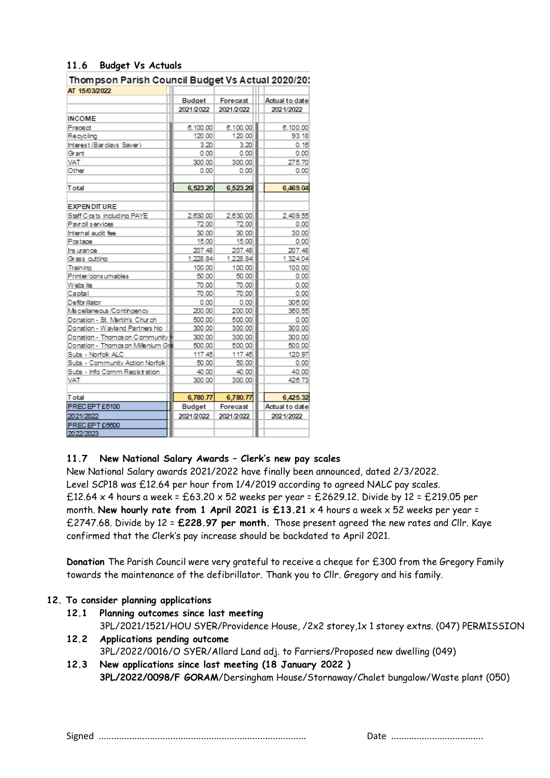## **11.6 Budget Vs Actuals**

Thompson Parish Council Budget Vs Actual 2020/20: **AT 15/03/2022** 

|                                   | Budget    | Forecast  | Actual to date |
|-----------------------------------|-----------|-----------|----------------|
|                                   | 2021/2022 | 2021/2022 | 2021/2022      |
| <b>INCOME</b>                     |           |           |                |
| Precept                           | 6,100.00  | 6,100.00  | 6,100.00       |
| Recycling                         | 120.00    | 120.00    | 93.18          |
| Interest (Barclays Saver)         | 3.20      | 3.20      | 0.16           |
| Grant                             | 0.00      | 0.00      | 0.00           |
| VAT                               | 300.00    | 300.00    | 275.70         |
| Other                             | 0.00      | 0.00      | 0.00           |
|                                   |           |           |                |
| <b>T</b> otal                     | 6,523.20  | 6,523.20  | 6,469.04       |
| <b>EXPENDITURE</b>                |           |           |                |
| Staff Costs including PAYE        | 2.630.00  | 2.630.00  | 2.409.55       |
| Payroll services                  | 72.00     | 72.00     | 0.00           |
| Internal audit fee                | 30.00     | 30.00     | 30.00          |
| Postage                           | 15.00     | 15.00     | 0.00           |
| Insurance                         | 207.48    | 207.48    | 207.48         |
| Grass cutting                     | 1.228.84  | 1,228.84  | 1,324.04       |
| Training                          | 100.00    | 100.00    | 100.00         |
| Printer/consumables               | 50.00     | 50.00     | 0.00           |
| Webs ite                          | 70.00     | 70.00     | 0.00           |
| Capital                           | 70.00     | 70.00     | 0.00           |
| Defibrillator                     | 0.00      | 0.00      | 306.00         |
| Miscellaneous /Contingency        | 200.00    | 200.00    | 360.55         |
| Donation - St. Martin's Church    | 500.00    | 500.00    | 0.00           |
| Donation - Wayland Partners hip   | 300.00    | 300.00    | 300.00         |
| Donation - Thompson Community     | 300.00    | 300.00    | 300.00         |
| Donation - Thomps on Millenium Gr | 500.00    | 500.00    | 500.00         |
| Subs - Norfolk ALC                | 117.45    | 117.45    | 120.97         |
| Subs - Community Action Norfolk   | 50.00     | 50.00     | 0.00           |
| Subs - Info Comm Registration     | 40.00     | 40.00     | 40.00          |
| <b>VAT</b>                        | 300.00    | 300.00    | 426.73         |
|                                   |           |           |                |
| <b>T</b> otal                     | 6,780.77  | 6,780.77  | 6,425.32       |
| PRECEPT £6100                     | Budget    | Forecast  | Actual to date |
| 2021/2022<br>PRECEPT £6600        | 2021/2022 | 2021/2022 | 2021/2022      |
|                                   |           |           |                |
| 2022/2023                         |           |           |                |

## **11.7 New National Salary Awards – Clerk's new pay scales**

New National Salary awards 2021/2022 have finally been announced, dated 2/3/2022. Level SCP18 was £12.64 per hour from 1/4/2019 according to agreed NALC pay scales.  $£12.64 \times 4$  hours a week =  $£63.20 \times 52$  weeks per year = £2629.12. Divide by 12 = £219.05 per month. **New hourly rate from 1 April 2021 is £13.21** x 4 hours a week x 52 weeks per year = £2747.68. Divide by 12 = **£228.97 per month.** Those present agreed the new rates and Cllr. Kaye confirmed that the Clerk's pay increase should be backdated to April 2021.

**Donation** The Parish Council were very grateful to receive a cheque for £300 from the Gregory Family towards the maintenance of the defibrillator. Thank you to Cllr. Gregory and his family.

#### **12. To consider planning applications**

- **12.1 Planning outcomes since last meeting**  3PL/2021/1521/HOU SYER/Providence House, /2x2 storey,1x 1 storey extns. (047) PERMISSION
- **12.2 Applications pending outcome**  3PL/2022/0016/O SYER/Allard Land adj. to Farriers/Proposed new dwelling (049)
- **12.3 New applications since last meeting (18 January 2022 ) 3PL/2022/0098/F GORAM**/Dersingham House/Stornaway/Chalet bungalow/Waste plant (050)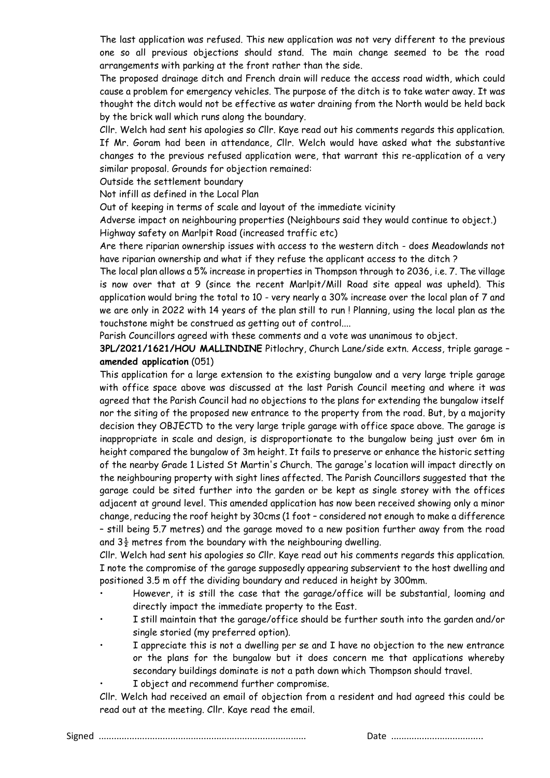The last application was refused. This new application was not very different to the previous one so all previous objections should stand. The main change seemed to be the road arrangements with parking at the front rather than the side.

The proposed drainage ditch and French drain will reduce the access road width, which could cause a problem for emergency vehicles. The purpose of the ditch is to take water away. It was thought the ditch would not be effective as water draining from the North would be held back by the brick wall which runs along the boundary.

Cllr. Welch had sent his apologies so Cllr. Kaye read out his comments regards this application. If Mr. Goram had been in attendance, Cllr. Welch would have asked what the substantive changes to the previous refused application were, that warrant this re-application of a very similar proposal. Grounds for objection remained:

Outside the settlement boundary

Not infill as defined in the Local Plan

Out of keeping in terms of scale and layout of the immediate vicinity

Adverse impact on neighbouring properties (Neighbours said they would continue to object.) Highway safety on Marlpit Road (increased traffic etc)

Are there riparian ownership issues with access to the western ditch - does Meadowlands not have riparian ownership and what if they refuse the applicant access to the ditch ?

The local plan allows a 5% increase in properties in Thompson through to 2036, i.e. 7. The village is now over that at 9 (since the recent Marlpit/Mill Road site appeal was upheld). This application would bring the total to 10 - very nearly a 30% increase over the local plan of 7 and we are only in 2022 with 14 years of the plan still to run ! Planning, using the local plan as the touchstone might be construed as getting out of control....

Parish Councillors agreed with these comments and a vote was unanimous to object.

**3PL/2021/1621/HOU MALLINDINE** Pitlochry, Church Lane/side extn. Access, triple garage – **amended application** (051)

This application for a large extension to the existing bungalow and a very large triple garage with office space above was discussed at the last Parish Council meeting and where it was agreed that the Parish Council had no objections to the plans for extending the bungalow itself nor the siting of the proposed new entrance to the property from the road. But, by a majority decision they OBJECTD to the very large triple garage with office space above. The garage is inappropriate in scale and design, is disproportionate to the bungalow being just over 6m in height compared the bungalow of 3m height. It fails to preserve or enhance the historic setting of the nearby Grade 1 Listed St Martin's Church. The garage's location will impact directly on the neighbouring property with sight lines affected. The Parish Councillors suggested that the garage could be sited further into the garden or be kept as single storey with the offices adjacent at ground level. This amended application has now been received showing only a minor change, reducing the roof height by 30cms (1 foot – considered not enough to make a difference – still being 5.7 metres) and the garage moved to a new position further away from the road and  $3\frac{1}{2}$  metres from the boundary with the neighbouring dwelling.

Cllr. Welch had sent his apologies so Cllr. Kaye read out his comments regards this application. I note the compromise of the garage supposedly appearing subservient to the host dwelling and positioned 3.5 m off the dividing boundary and reduced in height by 300mm.

- However, it is still the case that the garage/office will be substantial, looming and directly impact the immediate property to the East.
- I still maintain that the garage/office should be further south into the garden and/or single storied (my preferred option).
- I appreciate this is not a dwelling per se and I have no objection to the new entrance or the plans for the bungalow but it does concern me that applications whereby secondary buildings dominate is not a path down which Thompson should travel.
- I object and recommend further compromise.

Cllr. Welch had received an email of objection from a resident and had agreed this could be read out at the meeting. Cllr. Kaye read the email.